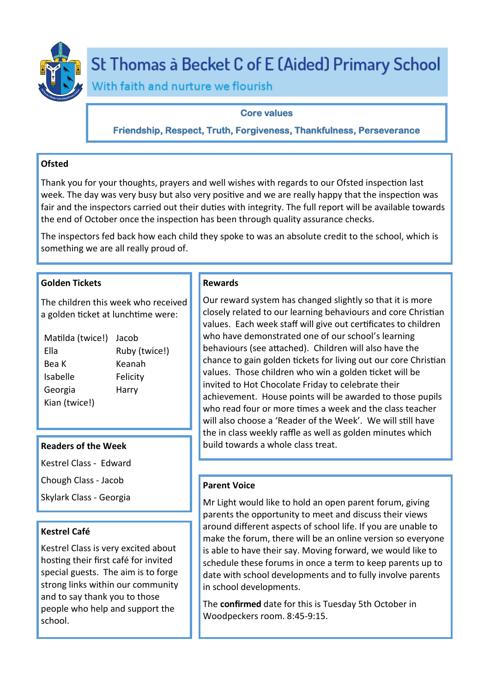

# St Thomas à Becket C of E (Aided) Primary School

With faith and nurture we flourish

# **Core values**

**Friendship, Respect, Truth, Forgiveness, Thankfulness, Perseverance** 

# **Ofsted**

Thank you for your thoughts, prayers and well wishes with regards to our Ofsted inspection last week. The day was very busy but also very positive and we are really happy that the inspection was fair and the inspectors carried out their duties with integrity. The full report will be available towards the end of October once the inspection has been through quality assurance checks.

The inspectors fed back how each child they spoke to was an absolute credit to the school, which is something we are all really proud of.

# **Golden Tickets**

The children this week who received a golden ticket at lunchtime were:

| Matilda (twice!) | Jacob         |
|------------------|---------------|
| Ella             | Ruby (twice!) |
| Bea K            | Keanah        |
| <b>Isabelle</b>  | Felicity      |
| Georgia          | Harry         |
| Kian (twice!)    |               |

## **Readers of the Week**

Kestrel Class - Edward

Chough Class - Jacob

Skylark Class - Georgia

# **Kestrel Café**

Kestrel Class is very excited about hosting their first café for invited special guests. The aim is to forge strong links within our community and to say thank you to those people who help and support the school.

## **Rewards**

Our reward system has changed slightly so that it is more closely related to our learning behaviours and core Christian values. Each week staff will give out certificates to children who have demonstrated one of our school's learning behaviours (see attached). Children will also have the chance to gain golden tickets for living out our core Christian values. Those children who win a golden ticket will be invited to Hot Chocolate Friday to celebrate their achievement. House points will be awarded to those pupils who read four or more times a week and the class teacher will also choose a 'Reader of the Week'. We will still have the in class weekly raffle as well as golden minutes which build towards a whole class treat.

# **Parent Voice**

Mr Light would like to hold an open parent forum, giving parents the opportunity to meet and discuss their views around different aspects of school life. If you are unable to make the forum, there will be an online version so everyone is able to have their say. Moving forward, we would like to schedule these forums in once a term to keep parents up to date with school developments and to fully involve parents in school developments.

The **confirmed** date for this is Tuesday 5th October in Woodpeckers room. 8:45-9:15.